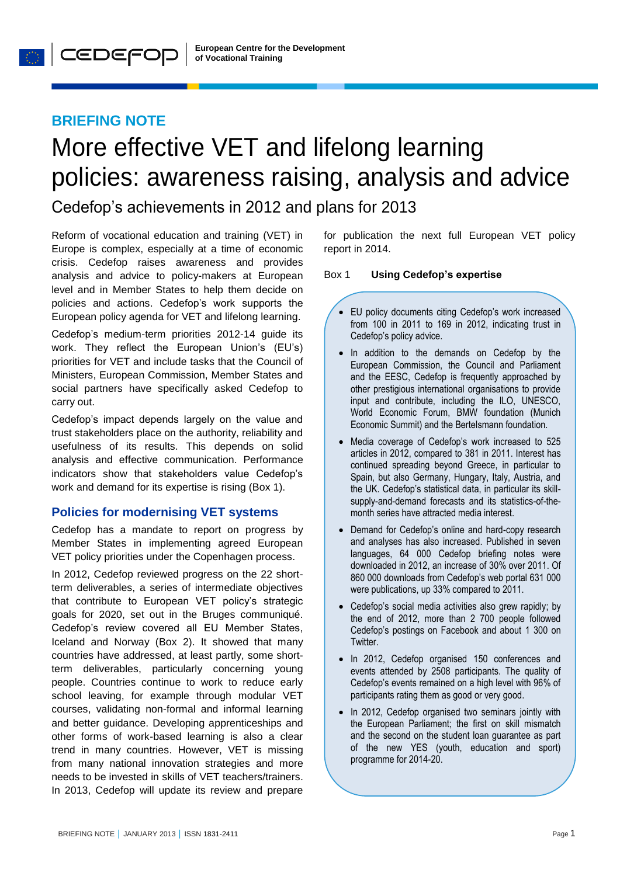## **BRIEFING NOTE**

**O** CEDEFOP

# More effective VET and lifelong learning policies: awareness raising, analysis and advice

Cedefop's achievements in 2012 and plans for 2013

Reform of vocational education and training (VET) in Europe is complex, especially at a time of economic crisis. Cedefop raises awareness and provides analysis and advice to policy-makers at European level and in Member States to help them decide on policies and actions. Cedefop's work supports the European policy agenda for VET and lifelong learning.

Cedefop's medium-term priorities 2012-14 guide its work. They reflect the European Union's (EU's) priorities for VET and include tasks that the Council of Ministers, European Commission, Member States and social partners have specifically asked Cedefop to carry out.

Cedefop's impact depends largely on the value and trust stakeholders place on the authority, reliability and usefulness of its results. This depends on solid analysis and effective communication. Performance indicators show that stakeholders value Cedefop's work and demand for its expertise is rising (Box 1).

## **Policies for modernising VET systems**

Cedefop has a mandate to report on progress by Member States in implementing agreed European VET policy priorities under the Copenhagen process.

In 2012, Cedefop reviewed progress on the 22 shortterm deliverables, a series of intermediate objectives that contribute to European VET policy's strategic goals for 2020, set out in the Bruges communiqué. Cedefop's review covered all EU Member States, Iceland and Norway (Box 2). It showed that many countries have addressed, at least partly, some shortterm deliverables, particularly concerning young people. Countries continue to work to reduce early school leaving, for example through modular VET courses, validating non-formal and informal learning and better guidance. Developing apprenticeships and other forms of work-based learning is also a clear trend in many countries. However, VET is missing from many national innovation strategies and more needs to be invested in skills of VET teachers/trainers. In 2013, Cedefop will update its review and prepare for publication the next full European VET policy report in 2014.

#### Box 1 **Using Cedefop's expertise**

- EU policy documents citing Cedefop's work increased from 100 in 2011 to 169 in 2012, indicating trust in Cedefop's policy advice.
- In addition to the demands on Cedefop by the European Commission, the Council and Parliament and the EESC, Cedefop is frequently approached by other prestigious international organisations to provide input and contribute, including the ILO, UNESCO, World Economic Forum, BMW foundation (Munich Economic Summit) and the Bertelsmann foundation.
- Media coverage of Cedefop's work increased to 525 articles in 2012, compared to 381 in 2011. Interest has continued spreading beyond Greece, in particular to Spain, but also Germany, Hungary, Italy, Austria, and the UK. Cedefop's statistical data, in particular its skillsupply-and-demand forecasts and its statistics-of-themonth series have attracted media interest.
- Demand for Cedefop's online and hard-copy research and analyses has also increased. Published in seven languages, 64 000 Cedefop briefing notes were downloaded in 2012, an increase of 30% over 2011. Of 860 000 downloads from Cedefop's web portal 631 000 were publications, up 33% compared to 2011.
- Cedefop's social media activities also grew rapidly; by the end of 2012, more than 2 700 people followed Cedefop's postings on Facebook and about 1 300 on Twitter.
- In 2012, Cedefop organised 150 conferences and events attended by 2508 participants. The quality of Cedefop's events remained on a high level with 96% of participants rating them as good or very good.
- In 2012, Cedefop organised two seminars jointly with the European Parliament; the first on skill mismatch and the second on the student loan guarantee as part of the new YES (youth, education and sport) programme for 2014-20.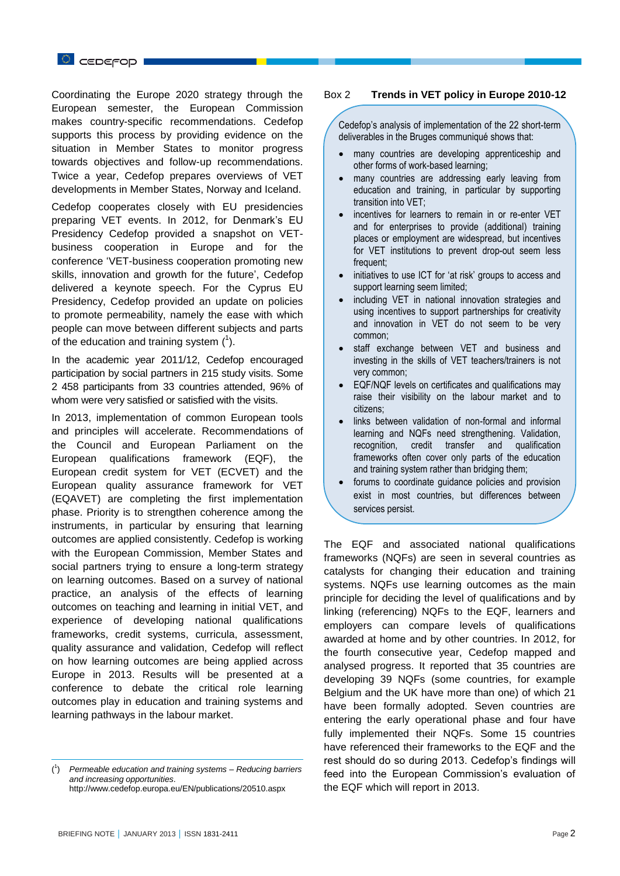Coordinating the Europe 2020 strategy through the European semester, the European Commission makes country-specific recommendations. Cedefop supports this process by providing evidence on the situation in Member States to monitor progress towards objectives and follow-up recommendations. Twice a year, Cedefop prepares overviews of VET developments in Member States, Norway and Iceland.

Cedefop cooperates closely with EU presidencies preparing VET events. In 2012, for Denmark's EU Presidency Cedefop provided a snapshot on VETbusiness cooperation in Europe and for the conference 'VET-business cooperation promoting new skills, innovation and growth for the future', Cedefop delivered a keynote speech. For the Cyprus EU Presidency, Cedefop provided an update on policies to promote permeability, namely the ease with which people can move between different subjects and parts of the education and training system  $(1)$ .

In the academic year 2011/12, Cedefop encouraged participation by social partners in 215 study visits. Some 2 458 participants from 33 countries attended, 96% of whom were very satisfied or satisfied with the visits.

In 2013, implementation of common European tools and principles will accelerate. Recommendations of the Council and European Parliament on the European qualifications framework (EQF), the European credit system for VET (ECVET) and the European quality assurance framework for VET (EQAVET) are completing the first implementation phase. Priority is to strengthen coherence among the instruments, in particular by ensuring that learning outcomes are applied consistently. Cedefop is working with the European Commission, Member States and social partners trying to ensure a long-term strategy on learning outcomes. Based on a survey of national practice, an analysis of the effects of learning outcomes on teaching and learning in initial VET, and experience of developing national qualifications frameworks, credit systems, curricula, assessment, quality assurance and validation, Cedefop will reflect on how learning outcomes are being applied across Europe in 2013. Results will be presented at a conference to debate the critical role learning outcomes play in education and training systems and learning pathways in the labour market.

#### Box 2 **Trends in VET policy in Europe 2010-12**

Cedefop's analysis of implementation of the 22 short-term deliverables in the Bruges communiqué shows that:

- many countries are developing apprenticeship and other forms of work-based learning;
- many countries are addressing early leaving from education and training, in particular by supporting transition into VET;
- incentives for learners to remain in or re-enter VET and for enterprises to provide (additional) training places or employment are widespread, but incentives for VET institutions to prevent drop-out seem less frequent;
- initiatives to use ICT for 'at risk' groups to access and support learning seem limited;
- including VET in national innovation strategies and using incentives to support partnerships for creativity and innovation in VET do not seem to be very common;
- staff exchange between VET and business and investing in the skills of VET teachers/trainers is not very common;
- EQF/NQF levels on certificates and qualifications may raise their visibility on the labour market and to citizens;
- links between validation of non-formal and informal learning and NQFs need strengthening. Validation, recognition, credit transfer and qualification frameworks often cover only parts of the education and training system rather than bridging them;
- forums to coordinate guidance policies and provision exist in most countries, but differences between services persist.

The EQF and associated national qualifications frameworks (NQFs) are seen in several countries as catalysts for changing their education and training systems. NQFs use learning outcomes as the main principle for deciding the level of qualifications and by linking (referencing) NQFs to the EQF, learners and employers can compare levels of qualifications awarded at home and by other countries. In 2012, for the fourth consecutive year, Cedefop mapped and analysed progress. It reported that 35 countries are developing 39 NQFs (some countries, for example Belgium and the UK have more than one) of which 21 have been formally adopted. Seven countries are entering the early operational phase and four have fully implemented their NQFs. Some 15 countries have referenced their frameworks to the EQF and the rest should do so during 2013. Cedefop's findings will feed into the European Commission's evaluation of the EQF which will report in 2013.

 $\overline{a}$ 

 $($ <sup>1</sup> ) *Permeable education and training systems – Reducing barriers and increasing opportunities*. http://www.cedefop.europa.eu/EN/publications/20510.aspx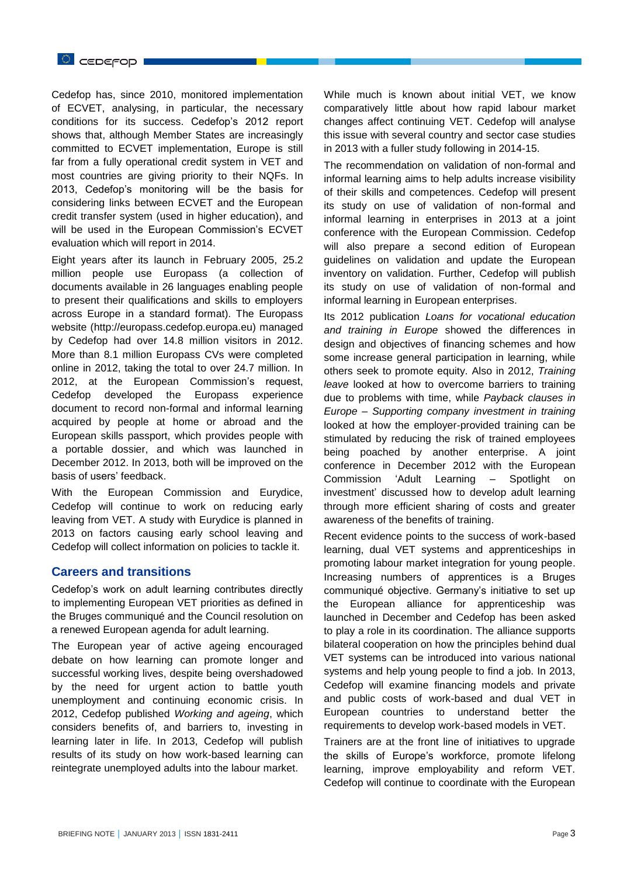Cedefop has, since 2010, monitored implementation of ECVET, analysing, in particular, the necessary conditions for its success. Cedefop's 2012 report shows that, although Member States are increasingly committed to ECVET implementation, Europe is still far from a fully operational credit system in VET and most countries are giving priority to their NQFs. In 2013, Cedefop's monitoring will be the basis for considering links between ECVET and the European credit transfer system (used in higher education), and will be used in the European Commission's ECVET evaluation which will report in 2014.

Eight years after its launch in February 2005, 25.2 million people use Europass (a collection of documents available in 26 languages enabling people to present their qualifications and skills to employers across Europe in a standard format). The Europass website [\(http://europass.cedefop.europa.eu\)](http://europass.cedefop.europa.eu/) managed by Cedefop had over 14.8 million visitors in 2012. More than 8.1 million Europass CVs were completed online in 2012, taking the total to over 24.7 million. In 2012, at the European Commission's request, Cedefop developed the Europass experience document to record non-formal and informal learning acquired by people at home or abroad and the European skills passport, which provides people with a portable dossier, and which was launched in December 2012. In 2013, both will be improved on the basis of users' feedback.

With the European Commission and Eurydice, Cedefop will continue to work on reducing early leaving from VET. A study with Eurydice is planned in 2013 on factors causing early school leaving and Cedefop will collect information on policies to tackle it.

## **Careers and transitions**

Cedefop's work on adult learning contributes directly to implementing European VET priorities as defined in the Bruges communiqué and the Council resolution on a renewed European agenda for adult learning.

The European year of active ageing encouraged debate on how learning can promote longer and successful working lives, despite being overshadowed by the need for urgent action to battle youth unemployment and continuing economic crisis. In 2012, Cedefop published *Working and ageing*, which considers benefits of, and barriers to, investing in learning later in life. In 2013, Cedefop will publish results of its study on how work-based learning can reintegrate unemployed adults into the labour market.

While much is known about initial VET, we know comparatively little about how rapid labour market changes affect continuing VET. Cedefop will analyse this issue with several country and sector case studies in 2013 with a fuller study following in 2014-15.

The recommendation on validation of non-formal and informal learning aims to help adults increase visibility of their skills and competences. Cedefop will present its study on use of validation of non-formal and informal learning in enterprises in 2013 at a joint conference with the European Commission. Cedefop will also prepare a second edition of European guidelines on validation and update the European inventory on validation. Further, Cedefop will publish its study on use of validation of non-formal and informal learning in European enterprises.

Its 2012 publication *Loans for vocational education and training in Europe* showed the differences in design and objectives of financing schemes and how some increase general participation in learning, while others seek to promote equity. Also in 2012, *Training leave* looked at how to overcome barriers to training due to problems with time, while *Payback clauses in Europe – Supporting company investment in training* looked at how the employer-provided training can be stimulated by reducing the risk of trained employees being poached by another enterprise. A joint conference in December 2012 with the European Commission 'Adult Learning – Spotlight on investment' discussed how to develop adult learning through more efficient sharing of costs and greater awareness of the benefits of training.

Recent evidence points to the success of work-based learning, dual VET systems and apprenticeships in promoting labour market integration for young people. Increasing numbers of apprentices is a Bruges communiqué objective. Germany's initiative to set up the European alliance for apprenticeship was launched in December and Cedefop has been asked to play a role in its coordination. The alliance supports bilateral cooperation on how the principles behind dual VET systems can be introduced into various national systems and help young people to find a job. In 2013, Cedefop will examine financing models and private and public costs of work-based and dual VET in European countries to understand better the requirements to develop work-based models in VET.

Trainers are at the front line of initiatives to upgrade the skills of Europe's workforce, promote lifelong learning, improve employability and reform VET. Cedefop will continue to coordinate with the European